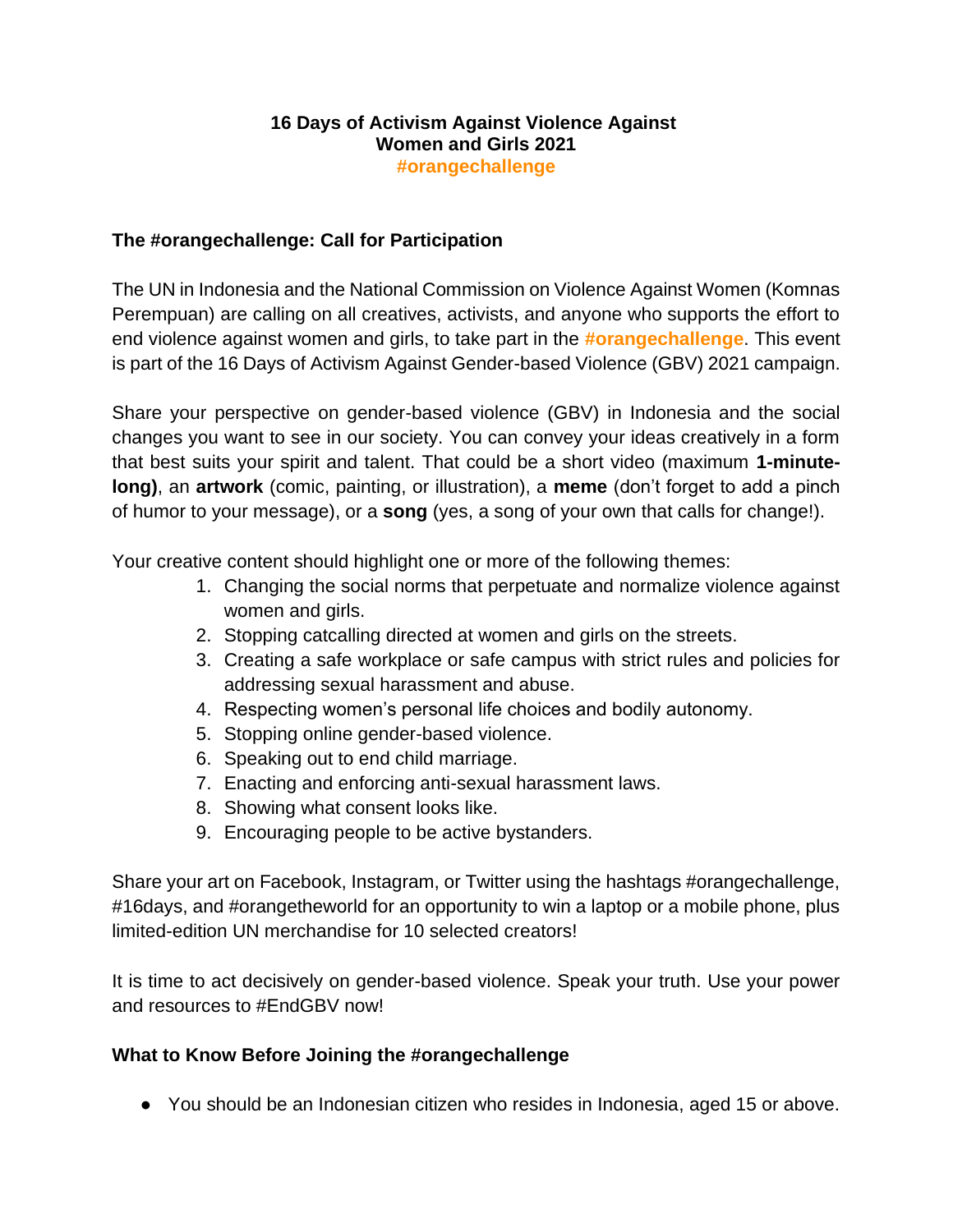## **16 Days of Activism Against Violence Against Women and Girls 2021 #orangechallenge**

## **The #orangechallenge: Call for Participation**

The UN in Indonesia and the National Commission on Violence Against Women (Komnas Perempuan) are calling on all creatives, activists, and anyone who supports the effort to end violence against women and girls, to take part in the **#orangechallenge**. This event is part of the 16 Days of Activism Against Gender-based Violence (GBV) 2021 campaign.

Share your perspective on gender-based violence (GBV) in Indonesia and the social changes you want to see in our society. You can convey your ideas creatively in a form that best suits your spirit and talent. That could be a short video (maximum **1-minutelong)**, an **artwork** (comic, painting, or illustration), a **meme** (don't forget to add a pinch of humor to your message), or a **song** (yes, a song of your own that calls for change!).

Your creative content should highlight one or more of the following themes:

- 1. Changing the social norms that perpetuate and normalize violence against women and girls.
- 2. Stopping catcalling directed at women and girls on the streets.
- 3. Creating a safe workplace or safe campus with strict rules and policies for addressing sexual harassment and abuse.
- 4. Respecting women's personal life choices and bodily autonomy.
- 5. Stopping online gender-based violence.
- 6. Speaking out to end child marriage.
- 7. Enacting and enforcing anti-sexual harassment laws.
- 8. Showing what consent looks like.
- 9. Encouraging people to be active bystanders.

Share your art on Facebook, Instagram, or Twitter using the hashtags #orangechallenge, #16days, and #orangetheworld for an opportunity to win a laptop or a mobile phone, plus limited-edition UN merchandise for 10 selected creators!

It is time to act decisively on gender-based violence. Speak your truth. Use your power and resources to #EndGBV now!

## **What to Know Before Joining the #orangechallenge**

● You should be an Indonesian citizen who resides in Indonesia, aged 15 or above.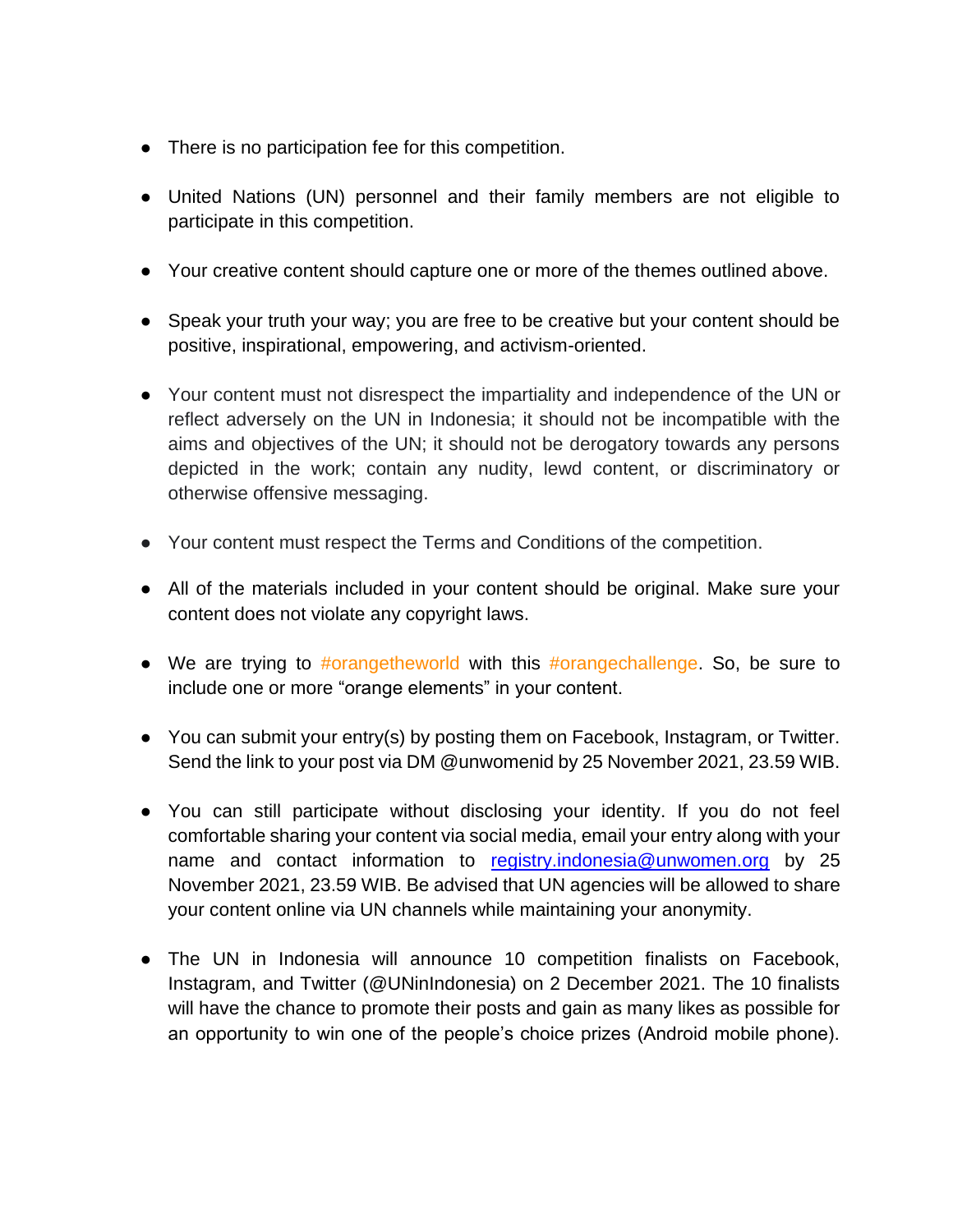- There is no participation fee for this competition.
- United Nations (UN) personnel and their family members are not eligible to participate in this competition.
- Your creative content should capture one or more of the themes outlined above.
- Speak your truth your way; you are free to be creative but your content should be positive, inspirational, empowering, and activism-oriented.
- Your content must not disrespect the impartiality and independence of the UN or reflect adversely on the UN in Indonesia; it should not be incompatible with the aims and objectives of the UN; it should not be derogatory towards any persons depicted in the work; contain any nudity, lewd content, or discriminatory or otherwise offensive messaging.
- Your content must respect the Terms and Conditions of the competition.
- All of the materials included in your content should be original. Make sure your content does not violate any copyright laws.
- We are trying to #orangetheworld with this #orangechallenge. So, be sure to include one or more "orange elements" in your content.
- You can submit your entry(s) by posting them on Facebook, Instagram, or Twitter. Send the link to your post via DM @unwomenid by 25 November 2021, 23.59 WIB.
- You can still participate without disclosing your identity. If you do not feel comfortable sharing your content via social media, email your entry along with your name and contact information to [registry.indonesia@unwomen.org](mailto:registry.indonesia@unwomen.org) by 25 November 2021, 23.59 WIB. Be advised that UN agencies will be allowed to share your content online via UN channels while maintaining your anonymity.
- The UN in Indonesia will announce 10 competition finalists on Facebook, Instagram, and Twitter (@UNinIndonesia) on 2 December 2021. The 10 finalists will have the chance to promote their posts and gain as many likes as possible for an opportunity to win one of the people's choice prizes (Android mobile phone).